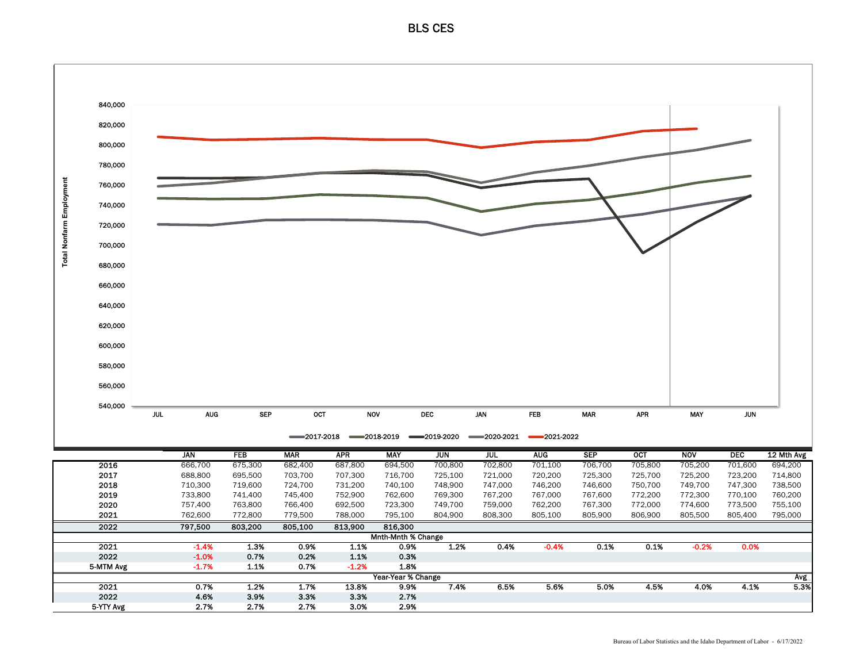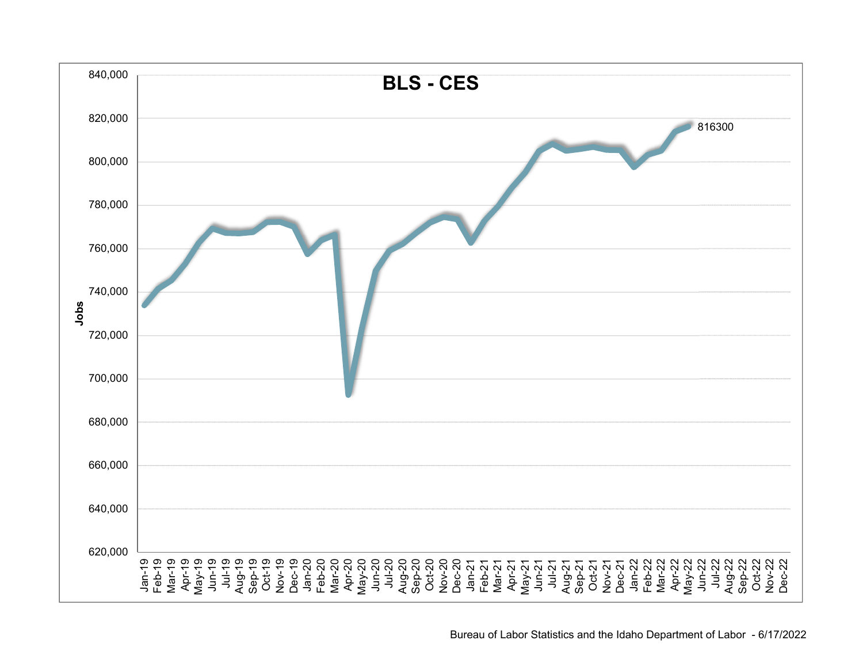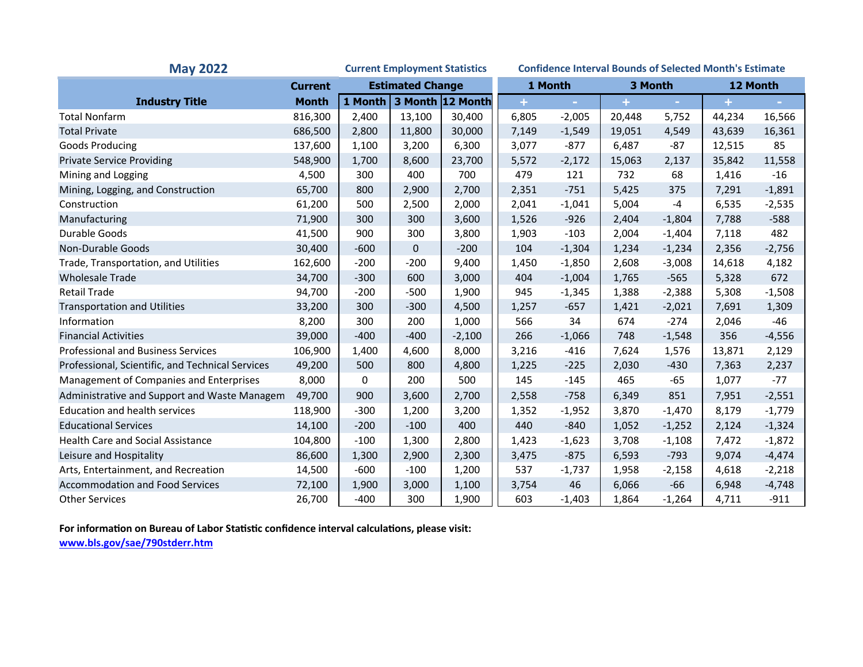| <b>May 2022</b><br><b>Current Employment Statistics</b> |                |                         |        | <b>Confidence Interval Bounds of Selected Month's Estimate</b> |       |          |        |          |        |          |
|---------------------------------------------------------|----------------|-------------------------|--------|----------------------------------------------------------------|-------|----------|--------|----------|--------|----------|
|                                                         | <b>Current</b> | <b>Estimated Change</b> |        | 1 Month                                                        |       | 3 Month  |        | 12 Month |        |          |
| <b>Industry Title</b>                                   | <b>Month</b>   |                         |        | 1 Month 3 Month 12 Month                                       |       |          |        |          |        |          |
| <b>Total Nonfarm</b>                                    | 816,300        | 2,400                   | 13,100 | 30,400                                                         | 6,805 | $-2,005$ | 20,448 | 5,752    | 44,234 | 16,566   |
| <b>Total Private</b>                                    | 686,500        | 2,800                   | 11,800 | 30,000                                                         | 7,149 | $-1,549$ | 19,051 | 4,549    | 43,639 | 16,361   |
| Goods Producing                                         | 137,600        | 1,100                   | 3,200  | 6,300                                                          | 3,077 | $-877$   | 6,487  | $-87$    | 12,515 | 85       |
| <b>Private Service Providing</b>                        | 548,900        | 1,700                   | 8,600  | 23,700                                                         | 5,572 | $-2,172$ | 15,063 | 2,137    | 35,842 | 11,558   |
| Mining and Logging                                      | 4,500          | 300                     | 400    | 700                                                            | 479   | 121      | 732    | 68       | 1,416  | $-16$    |
| Mining, Logging, and Construction                       | 65,700         | 800                     | 2,900  | 2,700                                                          | 2,351 | $-751$   | 5,425  | 375      | 7,291  | $-1,891$ |
| Construction                                            | 61,200         | 500                     | 2,500  | 2,000                                                          | 2,041 | $-1,041$ | 5,004  | $-4$     | 6,535  | $-2,535$ |
| Manufacturing                                           | 71,900         | 300                     | 300    | 3,600                                                          | 1,526 | $-926$   | 2,404  | $-1,804$ | 7,788  | $-588$   |
| Durable Goods                                           | 41,500         | 900                     | 300    | 3,800                                                          | 1,903 | $-103$   | 2,004  | $-1,404$ | 7,118  | 482      |
| Non-Durable Goods                                       | 30,400         | $-600$                  | 0      | $-200$                                                         | 104   | $-1,304$ | 1,234  | $-1,234$ | 2,356  | $-2,756$ |
| Trade, Transportation, and Utilities                    | 162,600        | $-200$                  | $-200$ | 9,400                                                          | 1,450 | $-1,850$ | 2,608  | $-3,008$ | 14,618 | 4,182    |
| <b>Wholesale Trade</b>                                  | 34,700         | $-300$                  | 600    | 3,000                                                          | 404   | $-1,004$ | 1,765  | $-565$   | 5,328  | 672      |
| <b>Retail Trade</b>                                     | 94,700         | $-200$                  | $-500$ | 1,900                                                          | 945   | $-1,345$ | 1,388  | $-2,388$ | 5,308  | $-1,508$ |
| <b>Transportation and Utilities</b>                     | 33,200         | 300                     | $-300$ | 4,500                                                          | 1,257 | $-657$   | 1,421  | $-2,021$ | 7,691  | 1,309    |
| Information                                             | 8,200          | 300                     | 200    | 1,000                                                          | 566   | 34       | 674    | $-274$   | 2,046  | $-46$    |
| <b>Financial Activities</b>                             | 39,000         | $-400$                  | $-400$ | $-2,100$                                                       | 266   | $-1,066$ | 748    | $-1,548$ | 356    | $-4,556$ |
| <b>Professional and Business Services</b>               | 106,900        | 1,400                   | 4,600  | 8,000                                                          | 3,216 | $-416$   | 7,624  | 1,576    | 13,871 | 2,129    |
| Professional, Scientific, and Technical Services        | 49,200         | 500                     | 800    | 4,800                                                          | 1,225 | $-225$   | 2,030  | $-430$   | 7,363  | 2,237    |
| Management of Companies and Enterprises                 | 8,000          | 0                       | 200    | 500                                                            | 145   | $-145$   | 465    | $-65$    | 1,077  | $-77$    |
| Administrative and Support and Waste Managem            | 49,700         | 900                     | 3,600  | 2,700                                                          | 2,558 | $-758$   | 6,349  | 851      | 7,951  | $-2,551$ |
| <b>Education and health services</b>                    | 118,900        | $-300$                  | 1,200  | 3,200                                                          | 1,352 | $-1,952$ | 3,870  | $-1,470$ | 8,179  | $-1,779$ |
| <b>Educational Services</b>                             | 14,100         | $-200$                  | $-100$ | 400                                                            | 440   | $-840$   | 1,052  | $-1,252$ | 2,124  | $-1,324$ |
| <b>Health Care and Social Assistance</b>                | 104,800        | $-100$                  | 1,300  | 2,800                                                          | 1,423 | $-1,623$ | 3,708  | $-1,108$ | 7,472  | $-1,872$ |
| Leisure and Hospitality                                 | 86,600         | 1,300                   | 2,900  | 2,300                                                          | 3,475 | $-875$   | 6,593  | $-793$   | 9,074  | $-4,474$ |
| Arts, Entertainment, and Recreation                     | 14,500         | $-600$                  | $-100$ | 1,200                                                          | 537   | $-1,737$ | 1,958  | $-2,158$ | 4,618  | $-2,218$ |
| <b>Accommodation and Food Services</b>                  | 72,100         | 1,900                   | 3,000  | 1,100                                                          | 3,754 | 46       | 6,066  | $-66$    | 6,948  | $-4,748$ |
| <b>Other Services</b>                                   | 26,700         | $-400$                  | 300    | 1,900                                                          | 603   | $-1,403$ | 1,864  | $-1,264$ | 4,711  | $-911$   |

**For informaƟon on Bureau of Labor StaƟsƟc confidence interval calculaƟons, please visit:**

**www.bls.gov/sae/790stderr.htm**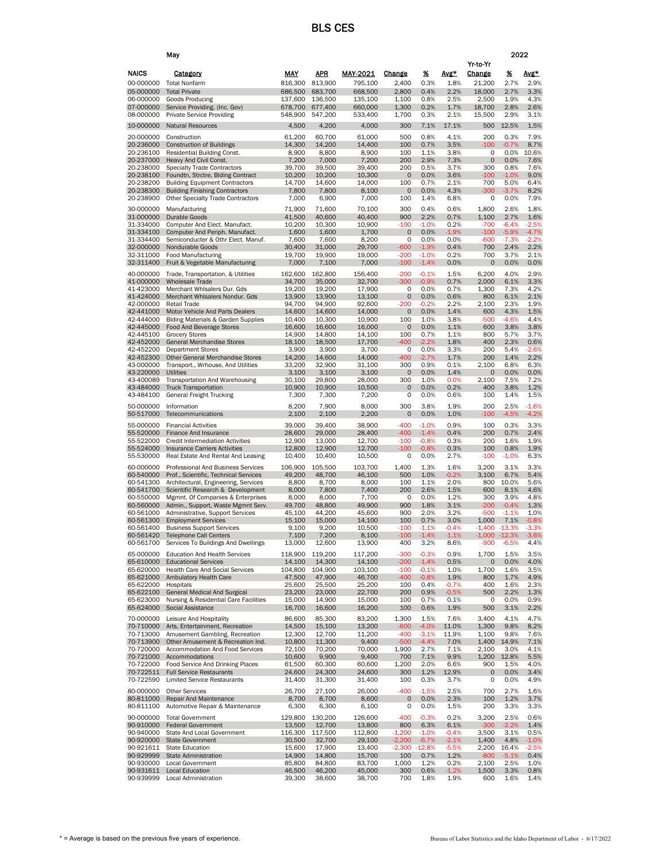|                        | May                                                                        |                    |                    |                    |                  |                    |                    |                           | 2022             |                     |
|------------------------|----------------------------------------------------------------------------|--------------------|--------------------|--------------------|------------------|--------------------|--------------------|---------------------------|------------------|---------------------|
|                        |                                                                            |                    |                    |                    |                  |                    |                    | Yr-to-Yr                  |                  |                     |
| <b>NAICS</b>           | <b>Category</b>                                                            | <u>MAY</u>         | <u>APR</u>         | <b>MAY-2021</b>    | <b>Change</b>    | <u>%</u>           | Avg*               | <b>Change</b>             | <u>%</u>         | <u>Avg*</u>         |
| 00-000000<br>05-000000 | <b>Total Nonfarm</b><br><b>Total Private</b>                               | 816,300<br>686,500 | 813,900<br>683,700 | 795,100<br>668,500 | 2,400<br>2,800   | 0.3%<br>0.4%       | 1.8%<br>2.2%       | 21,200<br>18,000          | 2.7%<br>2.7%     | 2.9%<br>3.3%        |
| 06-000000              | <b>Goods Producing</b>                                                     | 137,600            | 136,500            | 135,100            | 1,100            | 0.8%               | 2.5%               | 2,500                     | 1.9%             | 4.3%                |
| 07-000000              | Service Providing. (Inc. Gov)                                              | 678,700            | 677,400            | 660,000            | 1.300            | 0.2%               | 1.7%               | 18,700                    | 2.8%             | 2.6%                |
| 08-000000              | <b>Private Service Providing</b>                                           | 548,900            | 547,200            | 533,400            | 1,700            | 0.3%               | 2.1%               | 15,500                    | 2.9%             | 3.1%                |
| 10-000000              | <b>Natural Resources</b>                                                   | 4,500              | 4,200              | 4.000              | 300              | 7.1%               | 17.1%              | 500                       | 12.5%            | 1.5%                |
| 20-000000<br>20-236000 | Construction<br><b>Construction of Buildings</b>                           | 61,200<br>14,300   | 60,700<br>14,200   | 61,000<br>14,400   | 500<br>100       | 0.8%<br>0.7%       | 4.1%<br>3.5%       | 200<br>-100               | 0.3%<br>$-0.7\%$ | 7.9%<br>8.7%        |
| 20-236100              | <b>Residential Building Const.</b>                                         | 8,900              | 8,800              | 8,900              | 100              | 1.1%               | 3.8%               | 0                         | 0.0%             | 10.6%               |
| 20-237000              | Heavy And Civil Const.                                                     | 7,200              | 7,000              | 7,200              | 200              | 2.9%               | 7.3%               | $\mathbf 0$               | 0.0%             | 7.6%                |
| 20-238000<br>20-238100 | <b>Specialty Trade Contractors</b><br>Foundtn, Strctre, Blding Contract    | 39,700<br>10.200   | 39,500<br>10,200   | 39,400<br>10,300   | 200<br>$\circ$   | 0.5%<br>0.0%       | 3.7%<br>3.6%       | 300<br>-100               | 0.8%<br>$-1.0\%$ | 7.6%<br>9.0%        |
| 20-238200              | <b>Building Equipment Contractors</b>                                      | 14,700             | 14,600             | 14,000             | 100              | 0.7%               | 2.1%               | 700                       | 5.0%             | 6.4%                |
| 20-238300              | <b>Building Finishing Contractors</b>                                      | 7,800              | 7,800              | 8,100              | 0                | 0.0%               | 4.3%               | -300                      | $-3.7%$          | 8.2%                |
| 20-238900              | <b>Other Specialty Trade Contractors</b>                                   | 7,000              | 6,900              | 7,000              | 100              | 1.4%               | 6.8%               | 0                         | 0.0%             | 7.9%                |
| 30-000000<br>31-000000 | Manufacturing<br><b>Durable Goods</b>                                      | 71,900<br>41,500   | 71,600<br>40,600   | 70,100<br>40,400   | 300<br>900       | 0.4%<br>2.2%       | 0.6%<br>0.7%       | 1,800<br>1,100            | 2.6%<br>2.7%     | 1.8%<br>1.6%        |
| 31-334000              | Computer And Elect. Manufact.                                              | 10,200             | 10,300             | 10,900             | -100             | -1.0%              | 0.2%               | -700                      | $-6.4%$          | $-2.5%$             |
| 31-334100              | Computer And Periph. Manufact.                                             | 1,600              | 1,600              | 1,700              | $\mathbf 0$      | 0.0%               | $-1.9%$            | -100                      | $-5.9%$          | $-4.7%$             |
| 31-334400<br>32-000000 | Semiconducter & Othr Elect. Manuf.<br>Nondurable Goods                     | 7,600<br>30,400    | 7,600<br>31,000    | 8,200<br>29,700    | 0<br>-600        | 0.0%<br>-1.9%      | 0.0%<br>0.4%       | $-600$<br>700             | $-7.3%$<br>2.4%  | -2.2%<br>2.2%       |
| 32-311000              | <b>Food Manufacturing</b>                                                  | 19,700             | 19,900             | 19,000             | $-200$           | $-1.0%$            | 0.2%               | 700                       | 3.7%             | 2.1%                |
| 32-311400              | Fruit & Vegetable Manufacturing                                            | 7,000              | 7,100              | 7,000              | $-100$           | $-1.4%$            | 0.0%               | $\circ$                   | 0.0%             | 0.0%                |
| 40-000000              | Trade, Transportation, & Utilities                                         | 162,600            | 162,800            | 156,400            | $-200$           | $-0.1%$            | 1.5%               | 6.200                     | 4.0%             | 2.9%                |
| 41-000000<br>41-423000 | Wholesale Trade<br>Merchant Whisalers Dur. Gds                             | 34,700<br>19,200   | 35,000<br>19,200   | 32,700<br>17,900   | $-300$<br>0      | $-0.9%$<br>0.0%    | 0.7%<br>0.7%       | 2,000<br>1,300            | 6.1%<br>7.3%     | 3.3%<br>4.2%        |
| 41-424000              | Merchant Whisalers Nondur. Gds                                             | 13,900             | 13,900             | 13,100             | $\circ$          | 0.0%               | 0.6%               | 800                       | 6.1%             | 2.1%                |
| 42-000000              | <b>Retail Trade</b>                                                        | 94,700             | 94,900             | 92,600             | $-200$           | $-0.2%$            | 2.2%               | 2,100                     | 2.3%             | 1.9%                |
| 42-441000<br>42-444000 | Motor Vehicle And Parts Dealers<br>Blding Materials & Garden Supplies      | 14,600<br>10,400   | 14,600<br>10,300   | 14,000<br>10,900   | 0<br>100         | 0.0%<br>1.0%       | 1.4%<br>3.8%       | 600<br>-500               | 4.3%<br>-4.6%    | 1.5%<br>4.4%        |
| 42-445000              | <b>Food And Beverage Stores</b>                                            | 16,600             | 16,600             | 16,000             | 0                | 0.0%               | 1.1%               | 600                       | 3.8%             | 3.8%                |
| 42-445100<br>42-452000 | <b>Grocery Stores</b><br><b>General Merchandise Stores</b>                 | 14,900<br>18,100   | 14,800<br>18.500   | 14.100<br>17,700   | 100<br>-400      | 0.7%<br>2.2%       | 1.1%<br>1.8%       | 800<br>400                | 5.7%<br>2.3%     | 3.7%<br>0.6%        |
| 42-452200              | <b>Department Stores</b>                                                   | 3,900              | 3,900              | 3,700              | 0                | 0.0%               | 3.3%               | 200                       | 5.4%             | $-2.6%$             |
| 42-452300              | <b>Other General Merchandise Stores</b>                                    | 14,200             | 14,600             | 14,000             | -400             | $-2.7\%$           | 1.7%               | 200                       | 1.4%             | 2.2%                |
| 43-000000<br>43-220000 | Transport., Wrhouse, And Utilities<br><b>Utilities</b>                     | 33.200<br>3,100    | 32.900<br>3,100    | 31.100<br>3,100    | 300<br>0         | 0.9%<br>0.0%       | 0.1%<br>1.4%       | 2,100<br>$\circ$          | 6.8%<br>0.0%     | 6.3%<br>0.0%        |
| 43-400089              | <b>Transportation And Warehousing</b>                                      | 30,100             | 29,800             | 28,000             | 300              | 1.0%               | 0.0%               | 2,100                     | 7.5%             | 7.2%                |
| 43-484000              | <b>Truck Transportation</b>                                                | 10,900             | 10,900             | 10,500             | 0                | 0.0%               | 0.2%               | 400                       | 3.8%             | 1.2%                |
| 43-484100              | <b>General Freight Trucking</b>                                            | 7,300              | 7,300              | 7,200              | 0                | 0.0%               | 0.6%               | 100                       | 1.4%             | 1.5%                |
| 50-000000<br>50-517000 | Information<br>Telecommunications                                          | 8,200<br>2,100     | 7,900<br>2,100     | 8,000<br>2,200     | 300<br>0         | 3.8%<br>0.0%       | 1.9%<br>1.0%       | 200<br>-100               | 2.5%<br>$-4.5%$  | $-1.6%$<br>$-4.2\%$ |
| 55-000000              | <b>Financial Activities</b>                                                | 39,000             | 39,400             | 38,900             | -400             | $-1.0%$            | 0.9%               | 100                       | 0.3%             | 3.3%                |
| 55-520000              | Finance And Insurance                                                      | 28,600             | 29,000             | 28,400             | $-400$           | $-1.4%$            | 0.4%               | 200                       | 0.7%             | 2.4%                |
| 55-522000              | <b>Credit Intermediation Activities</b>                                    | 12,900             | 13,000             | 12,700             | $-100$           | $-0.8%$            | 0.3%               | 200                       | 1.6%             | 1.9%                |
| 55-524000<br>55-530000 | <b>Insurance Carriers Activities</b><br>Real Estate And Rental And Leasing | 12,800<br>10,400   | 12,900<br>10,400   | 12,700<br>10,500   | $-100$<br>0      | $-0.8%$<br>0.0%    | 0.3%<br>2.7%       | 100<br>-100               | 0.8%<br>$-1.0%$  | 1.9%<br>6.3%        |
| 60-000000              | Professional And Business Services                                         | 106,900            | 105,500            | 103,700            | 1,400            | 1.3%               | 1.6%               | 3,200                     | 3.1%             | 3.3%                |
| 60-540000              | Prof., Scientific. Technical Services                                      | 49,200             | 48,700             | 46,100             | 500              | 1.0%               | $-0.2%$            | 3,100                     | 6.7%             | 5.4%                |
| 60-541300              | Architectural, Engineering, Services                                       | 8,800              | 8,700              | 8,000              | 100              | 1.1%               | 2.0%               | 800                       | 10.0%            | 5.6%                |
| 60-541700<br>60-550000 | Scientific Research & Development<br>Mgmnt. Of Companies & Enterprises     | 8,000<br>8.000     | 7,800<br>8,000     | 7,400<br>7.700     | 200<br>0         | 2.6%<br>0.0%       | 1.5%<br>1.2%       | 600<br>300                | 8.1%<br>3.9%     | 4.6%<br>4.8%        |
| 60-560000              | Admin., Support, Waste Mgmnt Serv.                                         | 49,700             | 48,800             | 49,900             | 900              | 1.8%               | 3.1%               | -200                      | $-0.4%$          | 1.3%                |
| 60-561000              | Administrative, Support Services                                           | 45,100             | 44,200             | 45,600             | 900              | 2.0%               | 3.2%               | $-500$                    | $-1.1%$          | 1.0%                |
| 60-561300<br>60-561400 | <b>Employment Services</b><br><b>Business Support Services</b>             | 15.100<br>9,100    | 15,000<br>9,200    | 14.100<br>10,500   | 100<br>-100      | 0.7%<br>$-1.1%$    | 3.0%<br>$-0.4%$    | 1,000<br>$-1.400 - 13.3%$ | 7.1%             | $-0.8%$<br>$-3.3%$  |
| 60-561420              | <b>Telephone Call Centers</b>                                              | 7,100              | 7,200              | 8,100              | $-100$           | $-1.4%$            | $-1.1%$            |                           | $-1.000 - 12.3%$ | $-3.6%$             |
| 60-561700              | Services To Buildings And Dwellings                                        | 13,000             | 12,600             | 13,900             | 400              | 3.2%               | 8.6%               | -900                      | $-6.5%$          | 4.4%                |
| 65-000000              | <b>Education And Health Services</b>                                       | 118,900            | 119,200<br>14,300  | 117,200            | -300             | $-0.3%$            | 0.9%               | 1,700                     | 1.5%             | 3.5%                |
| 65-610000<br>65-620000 | <b>Educational Services</b><br><b>Health Care And Social Services</b>      | 14,100<br>104,800  | 104.900            | 14,100<br>103.100  | $-200$<br>$-100$ | $-1.4%$<br>$-0.1%$ | 0.5%<br>1.0%       | 0<br>1,700                | 0.0%<br>1.6%     | 4.0%<br>3.5%        |
| 65-621000              | Ambulatory Health Care                                                     | 47,500             | 47,900             | 46,700             | $-400$           | $-0.8%$            | 1.9%               | 800                       | 1.7%             | 4.9%                |
| 65-622000<br>65-622100 | Hospitals<br>General Medical And Surgical                                  | 25,600<br>23,200   | 25,500<br>23,000   | 25,200<br>22,700   | 100<br>200       | 0.4%<br>0.9%       | $-0.7%$<br>$-0.5%$ | 400<br>500                | 1.6%<br>2.2%     | 2.3%<br>1.3%        |
| 65-623000              | Nursing & Residential Care Facilities                                      | 15,000             | 14,900             | 15,000             | 100              | 0.7%               | 0.1%               | 0                         | 0.0%             | 0.9%                |
| 65-624000              | Social Assistance                                                          | 16,700             | 16,600             | 16,200             | 100              | 0.6%               | 1.9%               | 500                       | 3.1%             | 2.2%                |
| 70-000000              | Leisure And Hospitality                                                    | 86,600             | 85,300             | 83,200             | 1,300            | 1.5%               | 7.6%               | 3,400                     | 4.1%             | 4.7%                |
| 70-710000<br>70-713000 | Arts, Entertainment, Recreation<br>Amusement Gambling, Recreation          | 14,500<br>12,300   | 15.100<br>12,700   | 13.200<br>11,200   | -600<br>$-400$   | $-4.0%$<br>$-3.1%$ | 11.0%<br>11.9%     | 1,300<br>1,100            | 9.8%<br>9.8%     | 8.2%<br>7.6%        |
| 70-713900              | Other Amusement & Recreation Ind.                                          | 10,800             | 11,300             | 9,400              | -500             | $-4.4%$            | 7.0%               | 1,400                     | 14.9%            | 7.1%                |
| 70-720000              | Accommodation And Food Services                                            | 72,100             | 70,200             | 70,000             | 1,900            | 2.7%               | 7.1%               | 2,100                     | 3.0%             | 4.1%                |
| 70-721000<br>70-722000 | Accommodations                                                             | 10,600<br>61.500   | 9,900<br>60,300    | 9,400<br>60,600    | 700<br>1,200     | 7.1%<br>2.0%       | 9.9%<br>6.6%       | 1,200<br>900              | 12.8%<br>1.5%    | 5.5%<br>4.0%        |
|                        |                                                                            |                    |                    |                    |                  |                    |                    |                           |                  | 3.4%                |
| 70-722511              | Food Service And Drinking Places<br><b>Full Service Restaurants</b>        | 24,600             | 24,300             | 24,600             | 300              | 1.2%               | 12.9%              | $\circ$                   | 0.0%             |                     |
| 70-722590              | <b>Limited Service Restaurants</b>                                         | 31,400             | 31,300             | 31,400             | 100              | 0.3%               | 3.7%               | 0                         | 0.0%             | 4.9%                |
| 80-000000              | <b>Other Services</b>                                                      | 26,700             | 27,100             | 26,000             | $-400$           | $-1.5%$            | 2.5%               | 700                       | 2.7%             | 1.6%                |
| 80-811000              | <b>Repair And Maintenance</b>                                              | 8,700              | 8,700              | 8,600              | $\circ$          | 0.0%               | 2.3%               | 100                       | 1.2%             | 3.7%                |
| 80-811100              | Automotive Repair & Maintenance                                            | 6,300              | 6,300              | 6,100              | 0                | 0.0%               | 1.5%               | 200                       | 3.3%             | 3.3%                |
| 90-000000<br>90-910000 | <b>Total Government</b><br><b>Federal Government</b>                       | 129,800<br>13,500  | 130,200<br>12,700  | 126,600<br>13,800  | -400<br>800      | $-0.3%$<br>6.3%    | 0.2%<br>6.1%       | 3,200<br>$-300$           | 2.5%<br>$-2.2%$  | 0.6%<br>1.4%        |
| 90-940000              | State And Local Government                                                 | 116,300            | 117,500            | 112,800            | $-1,200$         | $-1.0%$            | $-0.4%$            | 3,500                     | 3.1%             | 0.5%                |
| 90-920000              | <b>State Government</b>                                                    | 30,500             | 32,700             | 29,100             | $-2,200$         | $-6.7%$            | $-2.1%$            | 1,400                     | 4.8%             | $-1.0\%$            |
| 90-921611<br>90-929999 | <b>State Education</b><br>State Administration                             | 15,600<br>14,900   | 17,900<br>14,800   | 13,400<br>15,700   | $-2,300$<br>100  | $-12.8%$<br>0.7%   | $-5.5%$<br>1.2%    | 2,200<br>$-800$           | 16.4%<br>$-5.1%$ | $-2.5%$<br>0.4%     |
| 90-930000<br>90-931611 | <b>Local Government</b><br><b>Local Education</b>                          | 85,800<br>46,500   | 84,800<br>46,200   | 83,700<br>45,000   | 1,000<br>300     | 1.2%<br>0.6%       | 0.2%<br>$-1.2%$    | 2,100<br>1,500            | 2.5%<br>3.3%     | 1.0%<br>0.8%        |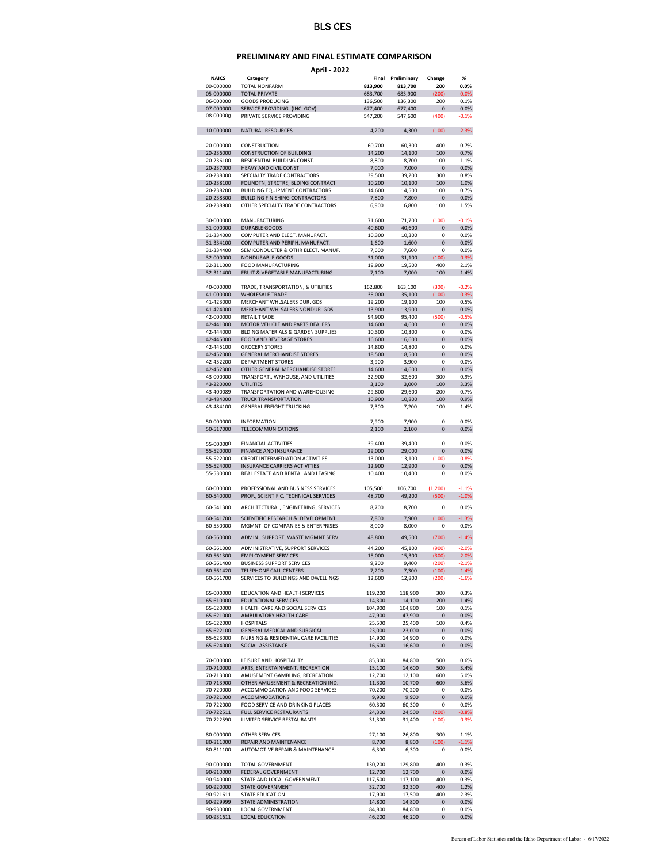## **PRELIMINARY AND FINAL ESTIMATE COMPARISON**

**April ‐ 2022**

| <b>NAICS</b>           | Category                                         | Final            | Preliminary      | Change         | $\%$         |
|------------------------|--------------------------------------------------|------------------|------------------|----------------|--------------|
| 00-000000              | TOTAL NONFARM                                    | 813,900          | 813,700          | 200            | 0.0%         |
| 05-000000              | <b>TOTAL PRIVATE</b>                             | 683,700          | 683,900          | (200)          | 0.0%         |
| 06-000000              | <b>GOODS PRODUCING</b>                           | 136,500          | 136,300          | 200            | 0.1%         |
| 07-000000              | SERVICE PROVIDING. (INC. GOV)                    | 677,400          | 677,400          | 0              | 0.0%         |
| 08-000000              | PRIVATE SERVICE PROVIDING                        | 547,200          | 547,600          | (400)          | $-0.1%$      |
| 10-000000              |                                                  |                  |                  |                | $-2.3%$      |
|                        | NATURAL RESOURCES                                | 4,200            | 4,300            | (100)          |              |
| 20-000000              | CONSTRUCTION                                     | 60,700           | 60,300           | 400            | 0.7%         |
| 20-236000              | <b>CONSTRUCTION OF BUILDING</b>                  | 14,200           | 14,100           | 100            | 0.7%         |
| 20-236100              | RESIDENTIAL BUILDING CONST.                      | 8,800            | 8,700            | 100            | 1.1%         |
| 20-237000              | HEAVY AND CIVIL CONST.                           | 7,000            | 7,000            | 0              | 0.0%         |
| 20-238000              | SPECIALTY TRADE CONTRACTORS                      | 39,500           | 39,200           | 300            | 0.8%         |
| 20-238100              | FOUNDTN, STRCTRE, BLDING CONTRACT                | 10,200           | 10,100           | 100            | 1.0%         |
| 20-238200              | <b>BUILDING EQUIPMENT CONTRACTORS</b>            | 14,600           | 14,500           | 100            | 0.7%         |
| 20-238300              | <b>BUILDING FINISHING CONTRACTORS</b>            | 7,800            | 7,800            | 0              | 0.0%         |
| 20-238900              | OTHER SPECIALTY TRADE CONTRACTORS                | 6,900            | 6,800            | 100            | 1.5%         |
|                        |                                                  |                  |                  |                |              |
| 30-000000              | MANUFACTURING                                    | 71,600           | 71,700           | (100)          | $-0.1%$      |
| 31-000000              | <b>DURABLE GOODS</b>                             | 40,600           | 40,600           | 0              | 0.0%         |
| 31-334000              | COMPUTER AND ELECT. MANUFACT.                    | 10,300           | 10,300           | 0              | 0.0%         |
| 31-334100              | COMPUTER AND PERIPH. MANUFACT.                   | 1,600            | 1,600            | $\overline{0}$ | 0.0%         |
| 31-334400              | SEMICONDUCTER & OTHR ELECT. MANUF.               | 7,600            | 7,600            | 0              | 0.0%         |
| 32-000000              | NONDURABLE GOODS                                 | 31,000           | 31,100           | (100)          | $-0.3%$      |
| 32-311000              | FOOD MANUFACTURING                               | 19,900           | 19,500           | 400            | 2.1%         |
| 32-311400              | FRUIT & VEGETABLE MANUFACTURING                  | 7,100            | 7,000            | 100            | 1.4%         |
|                        |                                                  |                  |                  |                |              |
| 40-000000              | TRADE, TRANSPORTATION, & UTILITIES               | 162,800          | 163,100          | (300)          | $-0.2%$      |
| 41-000000              | <b>WHOLESALE TRADE</b>                           | 35,000           | 35,100           | (100)          | $-0.3%$      |
| 41-423000              | MERCHANT WHLSALERS DUR. GDS                      | 19,200           | 19,100           | 100            | 0.5%         |
| 41-424000              | MERCHANT WHLSALERS NONDUR, GDS                   | 13,900           | 13,900           | 0              | 0.0%         |
| 42-000000              | <b>RETAIL TRADE</b>                              | 94,900           | 95,400           | (500)          | $-0.5%$      |
| 42-441000              | MOTOR VEHICLE AND PARTS DEALERS                  | 14,600           | 14,600           | 0              | 0.0%         |
| 42-444000              | BLDING MATERIALS & GARDEN SUPPLIES               | 10,300           | 10,300           | 0              | 0.0%         |
| 42-445000              | FOOD AND BEVERAGE STORES                         | 16,600           | 16,600           | 0              | 0.0%         |
| 42-445100              | <b>GROCERY STORES</b>                            | 14,800           | 14.800           | 0              | 0.0%         |
| 42-452000              | <b>GENERAL MERCHANDISE STORES</b>                | 18,500           | 18,500           | 0              | 0.0%         |
| 42-452200              | <b>DEPARTMENT STORES</b>                         | 3,900            | 3,900            | 0              | 0.0%         |
| 42-452300              | OTHER GENERAL MERCHANDISE STORES                 | 14,600           | 14,600           | 0              | 0.0%         |
| 43-000000              | TRANSPORT., WRHOUSE, AND UTILITIES               | 32,900           | 32,600           | 300            | 0.9%         |
| 43-220000              | <b>UTILITIES</b>                                 | 3,100            | 3,000            | 100            | 3.3%         |
| 43-400089              | TRANSPORTATION AND WAREHOUSING                   | 29,800           | 29,600           | 200            | 0.7%         |
| 43-484000              | <b>TRUCK TRANSPORTATION</b>                      | 10,900           | 10,800           | 100            | 0.9%         |
| 43-484100              | <b>GENERAL FREIGHT TRUCKING</b>                  | 7,300            | 7,200            | 100            | 1.4%         |
|                        |                                                  |                  |                  |                |              |
| 50-000000              | <b>INFORMATION</b>                               | 7,900            | 7,900            | 0              | 0.0%         |
| 50-517000              | TELECOMMUNICATIONS                               | 2,100            | 2,100            | $\overline{0}$ | 0.0%         |
|                        |                                                  |                  |                  |                |              |
| 55-000000              | <b>FINANCIAL ACTIVITIES</b>                      | 39,400           | 39,400           | 0              | 0.0%         |
| 55-520000              | FINANCE AND INSURANCE                            | 29,000           | 29,000           | $\pmb{0}$      | 0.0%         |
| 55-522000              | CREDIT INTERMEDIATION ACTIVITIES                 | 13,000           | 13,100           | (100)          | $-0.8%$      |
| 55-524000              | <b>INSURANCE CARRIERS ACTIVITIES</b>             | 12,900           | 12,900           | 0              | 0.0%         |
| 55-530000              | REAL ESTATE AND RENTAL AND LEASING               | 10,400           | 10,400           | 0              | 0.0%         |
|                        |                                                  |                  |                  |                |              |
| 60-000000              | PROFESSIONAL AND BUSINESS SERVICES               | 105,500          | 106,700          | (1, 200)       | $-1.1%$      |
| 60-540000              | PROF., SCIENTIFIC, TECHNICAL SERVICES            | 48,700           | 49,200           | (500)          | $-1.0%$      |
| 60-541300              | ARCHITECTURAL, ENGINEERING, SERVICES             | 8,700            | 8,700            | 0              | 0.0%         |
|                        |                                                  |                  |                  |                |              |
| 60-541700              | SCIENTIFIC RESEARCH & DEVELOPMENT                | 7,800            | 7,900            | (100)          | $-1.3%$      |
| 60-550000              | MGMNT. OF COMPANIES & ENTERPRISES                | 8,000            | 8,000            | 0              | 0.0%         |
| 60-560000              | ADMIN., SUPPORT, WASTE MGMNT SERV.               | 48,800           | 49,500           | (700)          | $-1.4%$      |
|                        |                                                  |                  |                  |                |              |
| 60-561000              | ADMINISTRATIVE, SUPPORT SERVICES                 | 44.200           | 45,100           | (900)          | $-2.0%$      |
| 60-561300              | <b>EMPLOYMENT SERVICES</b>                       | 15,000           | 15,300           | (300)          | $-2.0%$      |
| 60-561400              | <b>BUSINESS SUPPORT SERVICES</b>                 | 9,200            | 9,400            | (200)          | 2.1%         |
| 60-561420              | TELEPHONE CALL CENTERS                           | 7,200            | 7,300            | (100)          | $-1.4%$      |
| 60-561700              | SERVICES TO BUILDINGS AND DWELLINGS              | 12,600           | 12,800           | (200)          | $-1.6%$      |
|                        |                                                  |                  |                  |                |              |
| 65-000000              | EDUCATION AND HEALTH SERVICES                    | 119,200          | 118,900          | 300            | 0.3%         |
| 65-610000              | <b>EDUCATIONAL SERVICES</b>                      | 14,300           | 14,100           | 200            | 1.4%         |
| 65-620000              | HEALTH CARE AND SOCIAL SERVICES                  | 104,900          | 104,800          | 100            | 0.1%         |
| 65-621000              | AMBULATORY HEALTH CARE                           | 47,900           | 47,900           | 0              | 0.0%         |
| 65-622000<br>65-622100 | <b>HOSPITALS</b><br>GENERAL MEDICAL AND SURGICAL | 25,500<br>23,000 | 25,400           | 100            | 0.4%<br>0.0% |
|                        | NURSING & RESIDENTIAL CARE FACILITIES            |                  | 23,000<br>14,900 | 0              |              |
| 65-623000              | SOCIAL ASSISTANCE                                | 14,900           |                  | 0              | 0.0%         |
| 65-624000              |                                                  | 16,600           | 16,600           | 0              | 0.0%         |
|                        | LEISURE AND HOSPITALITY                          |                  |                  |                |              |
| 70-000000<br>70-710000 | ARTS, ENTERTAINMENT, RECREATION                  | 85,300           | 84,800           | 500<br>500     | 0.6%<br>3.4% |
| 70-713000              | AMUSEMENT GAMBLING, RECREATION                   | 15,100<br>12,700 | 14,600<br>12,100 | 600            | 5.0%         |
| 70-713900              | OTHER AMUSEMENT & RECREATION IND.                | 11,300           | 10,700           | 600            | 5.6%         |
| 70-720000              | ACCOMMODATION AND FOOD SERVICES                  | 70,200           | 70,200           | 0              | 0.0%         |
| 70-721000              | <b>ACCOMMODATIONS</b>                            | 9,900            | 9,900            | 0              | 0.0%         |
| 70-722000              | FOOD SERVICE AND DRINKING PLACES                 | 60,300           | 60,300           | 0              | 0.0%         |
| 70-722511              | FULL SERVICE RESTAURANTS                         | 24,300           | 24,500           | (200)          | $-0.8%$      |
| 70-722590              | LIMITED SERVICE RESTAURANTS                      | 31,300           | 31,400           | (100)          | $-0.3%$      |
|                        |                                                  |                  |                  |                |              |
| 80-000000              | OTHER SERVICES                                   | 27,100           | 26,800           | 300            | 1.1%         |
| 80-811000              | REPAIR AND MAINTENANCE                           | 8,700            | 8,800            | (100)          | $-1.1%$      |
| 80-811100              | AUTOMOTIVE REPAIR & MAINTENANCE                  | 6,300            | 6,300            | 0              | 0.0%         |
|                        |                                                  |                  |                  |                |              |
| 90-000000              | TOTAL GOVERNMENT                                 | 130,200          | 129,800          | 400            | 0.3%         |
| 90-910000              | FEDERAL GOVERNMENT                               | 12,700           | 12,700           | 0              | 0.0%         |
| 90-940000              | STATE AND LOCAL GOVERNMENT                       | 117,500          | 117,100          | 400            | 0.3%         |
| 90-920000              | STATE GOVERNMENT                                 | 32,700           | 32,300           | 400            | 1.2%         |
| 90-921611              | STATE EDUCATION                                  | 17,900           | 17,500           | 400            | 2.3%         |
| 90-929999              | STATE ADMINISTRATION                             | 14,800           | 14,800           | 0              | 0.0%         |
| 90-930000              | LOCAL GOVERNMENT                                 | 84,800           | 84,800           | 0              | 0.0%         |
| 90-931611              | LOCAL EDUCATION                                  | 46,200           | 46,200           | 0              | 0.0%         |